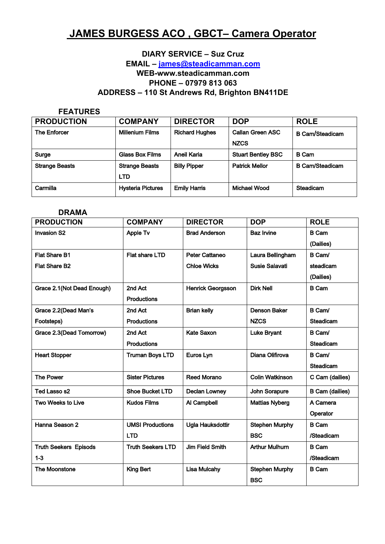# **JAMES BURGESS ACO, GBCT- Camera Operator**

# **DIARY SERVICE - Suz Cruz** EMAIL - james@steadicamman.com WEB-www.steadicamman.com PHONE - 07979 813 063 ADDRESS - 110 St Andrews Rd, Brighton BN411DE

#### **FEATURES**

| <b>PRODUCTION</b>     | <b>COMPANY</b>           | <b>DIRECTOR</b>       | <b>DOP</b>                | <b>ROLE</b>            |
|-----------------------|--------------------------|-----------------------|---------------------------|------------------------|
| The Enforcer          | <b>Millenium Films</b>   | <b>Richard Hughes</b> | <b>Callan Green ASC</b>   | <b>B</b> Cam/Steadicam |
|                       |                          |                       | <b>NZCS</b>               |                        |
| Surge                 | <b>Glass Box Films</b>   | Aneil Karia           | <b>Stuart Bentley BSC</b> | <b>B</b> Cam           |
| <b>Strange Beasts</b> | <b>Strange Beasts</b>    | <b>Billy Pipper</b>   | <b>Patrick Mellor</b>     | <b>B Cam/Steadicam</b> |
|                       | <b>LTD</b>               |                       |                           |                        |
| Carmilla              | <b>Hysteria Pictures</b> | <b>Emily Harris</b>   | Michael Wood              | Steadicam              |

## **DRAMA**

| <b>PRODUCTION</b>            | <b>COMPANY</b>           | <b>DIRECTOR</b>          | <b>DOP</b>             | <b>ROLE</b>            |
|------------------------------|--------------------------|--------------------------|------------------------|------------------------|
| <b>Invasion S2</b>           | <b>Apple Tv</b>          | <b>Brad Anderson</b>     | <b>Baz Irvine</b>      | <b>B</b> Cam           |
|                              |                          |                          |                        | (Dailies)              |
| <b>Flat Share B1</b>         | <b>Flat share LTD</b>    | Peter Cattaneo           | Laura Bellingham       | B Cam/                 |
| <b>Flat Share B2</b>         |                          | <b>Chloe Wicks</b>       | Susie Salavati         | steadicam              |
|                              |                          |                          |                        | (Dailies)              |
| Grace 2.1(Not Dead Enough)   | 2nd Act                  | <b>Henrick Georgsson</b> | <b>Dirk Nell</b>       | <b>B</b> Cam           |
|                              | <b>Productions</b>       |                          |                        |                        |
| Grace 2.2(Dead Man's         | 2nd Act                  | <b>Brian kelly</b>       | Denson Baker           | B Cam/                 |
| Footsteps)                   | <b>Productions</b>       |                          | <b>NZCS</b>            | <b>Steadicam</b>       |
| Grace 2.3(Dead Tomorrow)     | 2nd Act                  | Kate Saxon               | <b>Luke Bryant</b>     | B Cam/                 |
|                              | <b>Productions</b>       |                          |                        | <b>Steadicam</b>       |
| <b>Heart Stopper</b>         | <b>Truman Boys LTD</b>   | Euros Lyn                | Diana Olifirova        | B Cam/                 |
|                              |                          |                          |                        | <b>Steadicam</b>       |
| <b>The Power</b>             | <b>Sister Pictures</b>   | <b>Reed Morano</b>       | <b>Colin Watkinson</b> | C Cam (dailies)        |
| Ted Lasso s2                 | <b>Shoe Bucket LTD</b>   | <b>Declan Lowney</b>     | John Sorapure          | <b>B Cam (dailies)</b> |
| <b>Two Weeks to Live</b>     | <b>Kudos Films</b>       | Al Campbell              | <b>Mattias Nyberg</b>  | A Camera               |
|                              |                          |                          |                        | Operator               |
| Hanna Season 2               | <b>UMSI Productions</b>  | <b>Ugla Hauksdottir</b>  | <b>Stephen Murphy</b>  | <b>B</b> Cam           |
|                              | <b>LTD</b>               |                          | <b>BSC</b>             | /Steadicam             |
| <b>Truth Seekers Episods</b> | <b>Truth Seekers LTD</b> | Jim Field Smith          | <b>Arthur Mulhurn</b>  | <b>B</b> Cam           |
| $1 - 3$                      |                          |                          |                        | /Steadicam             |
| <b>The Moonstone</b>         | <b>King Bert</b>         | <b>Lisa Mulcahy</b>      | <b>Stephen Murphy</b>  | <b>B</b> Cam           |
|                              |                          |                          | <b>BSC</b>             |                        |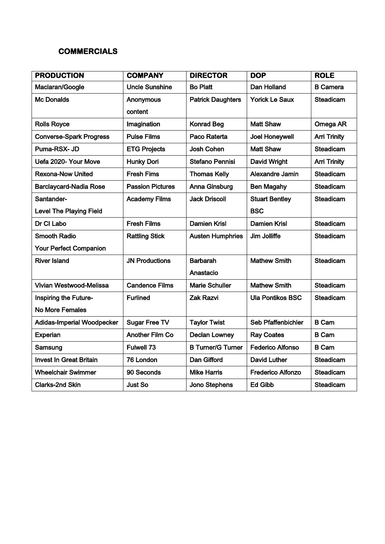# **COMMERCIALS**

| <b>PRODUCTION</b>              | <b>COMPANY</b>          | <b>DIRECTOR</b>          | <b>DOP</b>               | <b>ROLE</b>         |
|--------------------------------|-------------------------|--------------------------|--------------------------|---------------------|
| Maclaran/Google                | <b>Uncle Sunshine</b>   | <b>Bo Platt</b>          | Dan Holland              | <b>B</b> Camera     |
| <b>Mc Donalds</b>              | Anonymous               | <b>Patrick Daughters</b> | <b>Yorick Le Saux</b>    | <b>Steadicam</b>    |
|                                | content                 |                          |                          |                     |
| <b>Rolls Royce</b>             | Imagination             | <b>Konrad Beg</b>        | <b>Matt Shaw</b>         | Omega AR            |
| <b>Converse-Spark Progress</b> | <b>Pulse Films</b>      | Paco Raterta             | <b>Joel Honeywell</b>    | <b>Arri Trinity</b> |
| Puma-RSX-JD                    | <b>ETG Projects</b>     | Josh Cohen               | <b>Matt Shaw</b>         | <b>Steadicam</b>    |
| Uefa 2020- Your Move           | <b>Hunky Dori</b>       | <b>Stefano Pennisi</b>   | David Wright             | <b>Arri Trinity</b> |
| <b>Rexona-Now United</b>       | <b>Fresh Fims</b>       | <b>Thomas Kelly</b>      | Alexandre Jamin          | <b>Steadicam</b>    |
| <b>Barclaycard-Nadia Rose</b>  | <b>Passion Pictures</b> | <b>Anna Ginsburg</b>     | <b>Ben Magahy</b>        | <b>Steadicam</b>    |
| Santander-                     | <b>Academy Films</b>    | <b>Jack Driscoll</b>     | <b>Stuart Bentley</b>    | Steadicam           |
| <b>Level The Playing Field</b> |                         |                          | <b>BSC</b>               |                     |
| Dr Cl Labo                     | <b>Fresh Films</b>      | <b>Damien Krisl</b>      | <b>Damien Krisl</b>      | <b>Steadicam</b>    |
| <b>Smooth Radio</b>            | <b>Rattling Stick</b>   | <b>Austen Humphries</b>  | Jim Jolliffe             | <b>Steadicam</b>    |
| <b>Your Perfect Companion</b>  |                         |                          |                          |                     |
| <b>River Island</b>            | <b>JN Productions</b>   | <b>Barbarah</b>          | <b>Mathew Smith</b>      | Steadicam           |
|                                |                         | Anastacio                |                          |                     |
| Vivian Westwood-Melissa        | <b>Candence Films</b>   | <b>Marie Schuller</b>    | <b>Mathew Smith</b>      | <b>Steadicam</b>    |
| <b>Inspiring the Future-</b>   | <b>Furlined</b>         | <b>Zak Razvi</b>         | <b>Ula Pontikos BSC</b>  | <b>Steadicam</b>    |
| <b>No More Females</b>         |                         |                          |                          |                     |
| Adidas-Imperial Woodpecker     | <b>Sugar Free TV</b>    | <b>Taylor Twist</b>      | Seb Pfaffenbichler       | <b>B</b> Cam        |
| Experian                       | <b>Another Film Co</b>  | <b>Declan Lowney</b>     | <b>Ray Coates</b>        | <b>B</b> Cam        |
| Samsung                        | <b>Fulwell 73</b>       | <b>B Turner/G Turner</b> | <b>Federico Alfonso</b>  | <b>B</b> Cam        |
| <b>Invest In Great Britain</b> | 76 London               | <b>Dan Gifford</b>       | <b>David Luther</b>      | <b>Steadicam</b>    |
| <b>Wheelchair Swimmer</b>      | 90 Seconds              | <b>Mike Harris</b>       | <b>Frederico Alfonzo</b> | <b>Steadicam</b>    |
| Clarks-2nd Skin                | <b>Just So</b>          | Jono Stephens            | <b>Ed Gibb</b>           | <b>Steadicam</b>    |